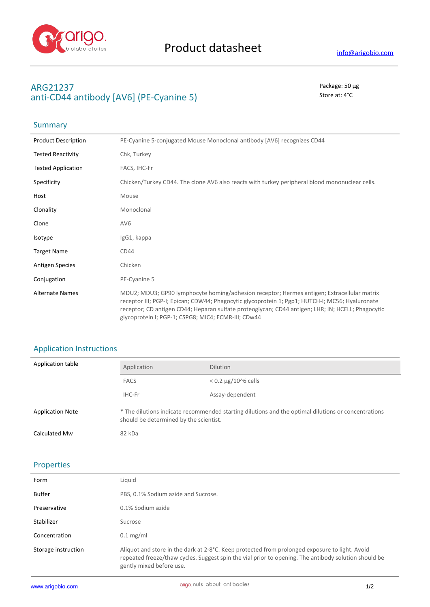

## **ARG21237** Package: 50 μg anti-CD44 antibody [AV6] (PE-Cyanine 5) Store at: 4<sup>°</sup>C

# Summary

| <b>Product Description</b> | PE-Cyanine 5-conjugated Mouse Monoclonal antibody [AV6] recognizes CD44                                                                                                                                                                                                                                                                                   |
|----------------------------|-----------------------------------------------------------------------------------------------------------------------------------------------------------------------------------------------------------------------------------------------------------------------------------------------------------------------------------------------------------|
| <b>Tested Reactivity</b>   | Chk, Turkey                                                                                                                                                                                                                                                                                                                                               |
| <b>Tested Application</b>  | FACS, IHC-Fr                                                                                                                                                                                                                                                                                                                                              |
| Specificity                | Chicken/Turkey CD44. The clone AV6 also reacts with turkey peripheral blood mononuclear cells.                                                                                                                                                                                                                                                            |
| Host                       | Mouse                                                                                                                                                                                                                                                                                                                                                     |
| Clonality                  | Monoclonal                                                                                                                                                                                                                                                                                                                                                |
| Clone                      | AV <sub>6</sub>                                                                                                                                                                                                                                                                                                                                           |
| Isotype                    | IgG1, kappa                                                                                                                                                                                                                                                                                                                                               |
| <b>Target Name</b>         | CD44                                                                                                                                                                                                                                                                                                                                                      |
| <b>Antigen Species</b>     | Chicken                                                                                                                                                                                                                                                                                                                                                   |
| Conjugation                | PE-Cyanine 5                                                                                                                                                                                                                                                                                                                                              |
| <b>Alternate Names</b>     | MDU2; MDU3; GP90 lymphocyte homing/adhesion receptor; Hermes antigen; Extracellular matrix<br>receptor III; PGP-I; Epican; CDW44; Phagocytic glycoprotein 1; Pgp1; HUTCH-I; MC56; Hyaluronate<br>receptor; CD antigen CD44; Heparan sulfate proteoglycan; CD44 antigen; LHR; IN; HCELL; Phagocytic<br>glycoprotein I; PGP-1; CSPG8; MIC4; ECMR-III; CDw44 |

# Application Instructions

| Application table       | Application                                                                                                                                   | <b>Dilution</b>              |
|-------------------------|-----------------------------------------------------------------------------------------------------------------------------------------------|------------------------------|
|                         | <b>FACS</b>                                                                                                                                   | $< 0.2 \mu g / 10^{6}$ cells |
|                         | IHC-Fr                                                                                                                                        | Assay-dependent              |
| <b>Application Note</b> | * The dilutions indicate recommended starting dilutions and the optimal dilutions or concentrations<br>should be determined by the scientist. |                              |
| Calculated Mw           | 82 kDa                                                                                                                                        |                              |

### Properties

| Form                | Liauid                                                                                                                                                                                                                             |
|---------------------|------------------------------------------------------------------------------------------------------------------------------------------------------------------------------------------------------------------------------------|
| Buffer              | PBS, 0.1% Sodium azide and Sucrose.                                                                                                                                                                                                |
| Preservative        | 0.1% Sodium azide                                                                                                                                                                                                                  |
| Stabilizer          | Sucrose                                                                                                                                                                                                                            |
| Concentration       | $0.1 \text{ mg/ml}$                                                                                                                                                                                                                |
| Storage instruction | Aliquot and store in the dark at 2-8°C. Keep protected from prolonged exposure to light. Avoid<br>repeated freeze/thaw cycles. Suggest spin the vial prior to opening. The antibody solution should be<br>gently mixed before use. |